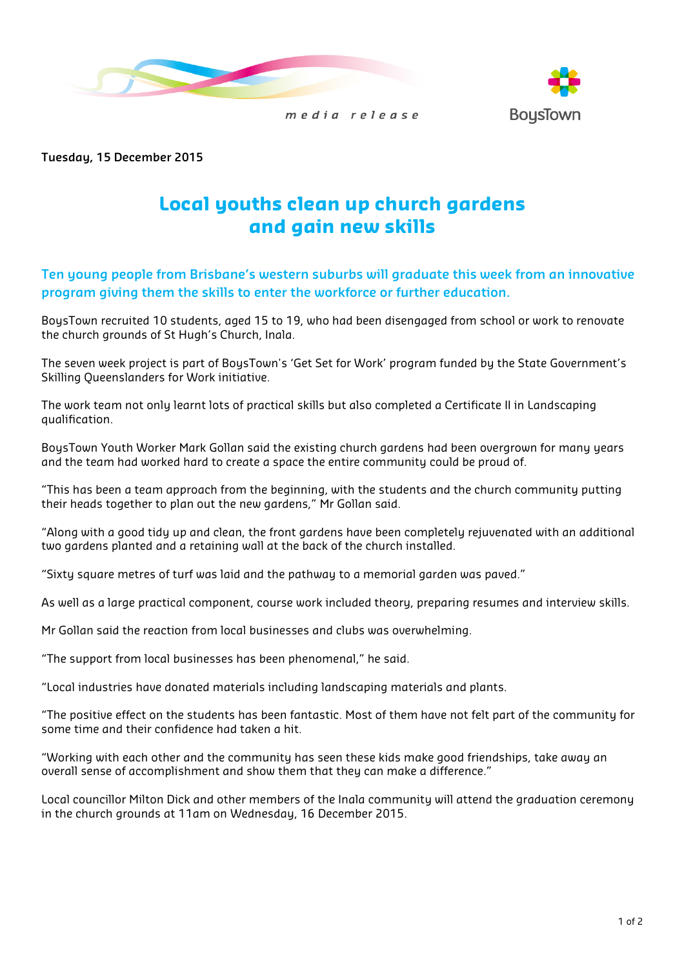

media release



Tuesday, 15 December 2015

# Local youths clean up church gardens and gain new skills

## Ten young people from Brisbane's western suburbs will graduate this week from an innovative program giving them the skills to enter the workforce or further education.

BoysTown recruited 10 students, aged 15 to 19, who had been disengaged from school or work to renovate the church grounds of St Hugh's Church, Inala.

The seven week project is part of BoysTown's 'Get Set for Work' program funded by the State Government's Skilling Queenslanders for Work initiative.

The work team not only learnt lots of practical skills but also completed a Certificate II in Landscaping qualification.

BoysTown Youth Worker Mark Gollan said the existing church gardens had been overgrown for many years and the team had worked hard to create a space the entire community could be proud of.

"This has been a team approach from the beginning, with the students and the church community putting their heads together to plan out the new gardens," Mr Gollan said.

"Along with a good tidy up and clean, the front gardens have been completely rejuvenated with an additional two gardens planted and a retaining wall at the back of the church installed.

"Sixty square metres of turf was laid and the pathway to a memorial garden was paved."

As well as a large practical component, course work included theory, preparing resumes and interview skills.

Mr Gollan said the reaction from local businesses and clubs was overwhelming.

"The support from local businesses has been phenomenal," he said.

"Local industries have donated materials including landscaping materials and plants.

"The positive effect on the students has been fantastic. Most of them have not felt part of the community for some time and their confidence had taken a hit.

"Working with each other and the community has seen these kids make good friendships, take away an overall sense of accomplishment and show them that they can make a difference."

Local councillor Milton Dick and other members of the Inala community will attend the graduation ceremony in the church grounds at 11am on Wednesday, 16 December 2015.